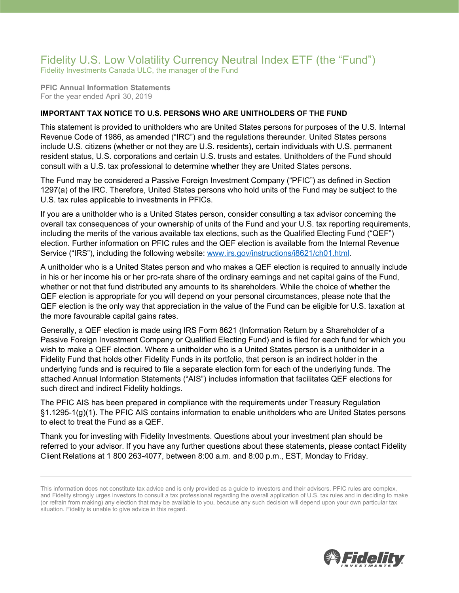## Fidelity U.S. Low Volatility Currency Neutral Index ETF (the "Fund") Fidelity Investments Canada ULC, the manager of the Fund

**PFIC Annual Information Statements** For the year ended April 30, 2019

## **IMPORTANT TAX NOTICE TO U.S. PERSONS WHO ARE UNITHOLDERS OF THE FUND**

This statement is provided to unitholders who are United States persons for purposes of the U.S. Internal Revenue Code of 1986, as amended ("IRC") and the regulations thereunder. United States persons include U.S. citizens (whether or not they are U.S. residents), certain individuals with U.S. permanent resident status, U.S. corporations and certain U.S. trusts and estates. Unitholders of the Fund should consult with a U.S. tax professional to determine whether they are United States persons.

The Fund may be considered a Passive Foreign Investment Company ("PFIC") as defined in Section 1297(a) of the IRC. Therefore, United States persons who hold units of the Fund may be subject to the U.S. tax rules applicable to investments in PFICs.

If you are a unitholder who is a United States person, consider consulting a tax advisor concerning the overall tax consequences of your ownership of units of the Fund and your U.S. tax reporting requirements, including the merits of the various available tax elections, such as the Qualified Electing Fund ("QEF") election. Further information on PFIC rules and the QEF election is available from the Internal Revenue Service ("IRS"), including the following website: [www.irs.gov/instructions/i8621/ch01.html.](http://www.irs.gov/instructions/i8621/ch01.html)

A unitholder who is a United States person and who makes a QEF election is required to annually include in his or her income his or her pro-rata share of the ordinary earnings and net capital gains of the Fund, whether or not that fund distributed any amounts to its shareholders. While the choice of whether the QEF election is appropriate for you will depend on your personal circumstances, please note that the QEF election is the only way that appreciation in the value of the Fund can be eligible for U.S. taxation at the more favourable capital gains rates.

Generally, a QEF election is made using IRS Form 8621 (Information Return by a Shareholder of a Passive Foreign Investment Company or Qualified Electing Fund) and is filed for each fund for which you wish to make a QEF election. Where a unitholder who is a United States person is a unitholder in a Fidelity Fund that holds other Fidelity Funds in its portfolio, that person is an indirect holder in the underlying funds and is required to file a separate election form for each of the underlying funds. The attached Annual Information Statements ("AIS") includes information that facilitates QEF elections for such direct and indirect Fidelity holdings.

The PFIC AIS has been prepared in compliance with the requirements under Treasury Regulation §1.1295-1(g)(1). The PFIC AIS contains information to enable unitholders who are United States persons to elect to treat the Fund as a QEF.

Thank you for investing with Fidelity Investments. Questions about your investment plan should be referred to your advisor. If you have any further questions about these statements, please contact Fidelity Client Relations at 1 800 263-4077, between 8:00 a.m. and 8:00 p.m., EST, Monday to Friday.



This information does not constitute tax advice and is only provided as a guide to investors and their advisors. PFIC rules are complex, and Fidelity strongly urges investors to consult a tax professional regarding the overall application of U.S. tax rules and in deciding to make (or refrain from making) any election that may be available to you, because any such decision will depend upon your own particular tax situation. Fidelity is unable to give advice in this regard.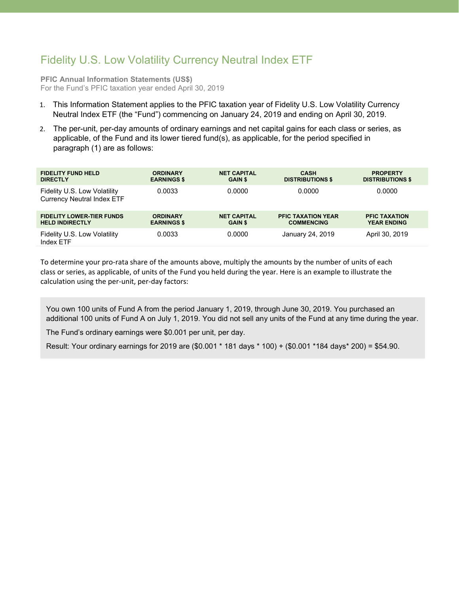## Fidelity U.S. Low Volatility Currency Neutral Index ETF

**PFIC Annual Information Statements (US\$)** For the Fund's PFIC taxation year ended April 30, 2019

- 1. This Information Statement applies to the PFIC taxation year of Fidelity U.S. Low Volatility Currency Neutral Index ETF (the "Fund") commencing on January 24, 2019 and ending on April 30, 2019.
- 2. The per-unit, per-day amounts of ordinary earnings and net capital gains for each class or series, as applicable, of the Fund and its lower tiered fund(s), as applicable, for the period specified in paragraph (1) are as follows:

| <b>FIDELITY FUND HELD</b>                                         | <b>ORDINARY</b>    | <b>NET CAPITAL</b> | <b>CASH</b>               | <b>PROPERTY</b>         |
|-------------------------------------------------------------------|--------------------|--------------------|---------------------------|-------------------------|
| <b>DIRECTLY</b>                                                   | <b>EARNINGS \$</b> | <b>GAIN \$</b>     | <b>DISTRIBUTIONS \$</b>   | <b>DISTRIBUTIONS \$</b> |
| Fidelity U.S. Low Volatility<br><b>Currency Neutral Index ETF</b> | 0.0033             | 0.0000             | 0.0000                    | 0.0000                  |
| <b>FIDELITY LOWER-TIER FUNDS</b>                                  | <b>ORDINARY</b>    | <b>NET CAPITAL</b> | <b>PFIC TAXATION YEAR</b> | <b>PFIC TAXATION</b>    |
| <b>HELD INDIRECTLY</b>                                            | <b>EARNINGS \$</b> | <b>GAIN \$</b>     | <b>COMMENCING</b>         | <b>YEAR ENDING</b>      |
| Fidelity U.S. Low Volatility<br>Index ETF                         | 0.0033             | 0.0000             | January 24, 2019          | April 30, 2019          |

To determine your pro-rata share of the amounts above, multiply the amounts by the number of units of each class or series, as applicable, of units of the Fund you held during the year. Here is an example to illustrate the calculation using the per-unit, per-day factors:

You own 100 units of Fund A from the period January 1, 2019, through June 30, 2019. You purchased an additional 100 units of Fund A on July 1, 2019. You did not sell any units of the Fund at any time during the year.

The Fund's ordinary earnings were \$0.001 per unit, per day.

Result: Your ordinary earnings for 2019 are (\$0.001 \* 181 days \* 100) + (\$0.001 \*184 days\* 200) = \$54.90.